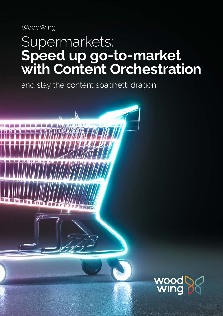WoodWing

## Supermarkets: **Speed up go-to-market with Content Orchestration**

and slay the content spaghetti dragon

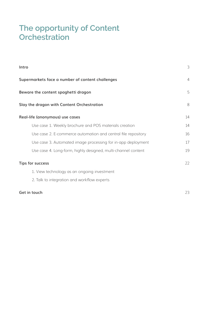#### **The opportunity of Content Orchestration**

| Intro                                                         | 3              |
|---------------------------------------------------------------|----------------|
| Supermarkets face a number of content challenges              | $\overline{4}$ |
| Beware the content spaghetti dragon                           | 5              |
| Slay the dragon with Content Orchestration                    | 8              |
| Real-life (anonymous) use cases                               | 14             |
| Use case 1. Weekly brochure and POS materials creation        | 14             |
| Use case 2. E-commerce automation and central file repository | 16             |
| Use case 3. Automated image processing for in-app deployment  | 17             |
| Use case 4. Long-form, highly designed, multi-channel content | 19             |
| Tips for success                                              | 22             |
| 1. View technology as an ongoing investment                   |                |
| 2. Talk to integration and workflow experts                   |                |
| Get in touch                                                  | 23             |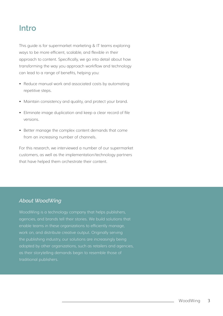#### **Intro**

This guide is for supermarket marketing & IT teams exploring ways to be more efficient, scalable, and flexible in their approach to content. Specifically, we go into detail about how transforming the way you approach workflow and technology can lead to a range of benefits, helping you:

- Reduce manual work and associated costs by automating repetitive steps.
- Maintain consistency and quality, and protect your brand.
- Eliminate image duplication and keep a clear record of file versions.
- Better manage the complex content demands that come from an increasing number of channels.

For this research, we interviewed a number of our supermarket customers, as well as the implementation/technology partners that have helped them orchestrate their content.

#### *About WoodWing*

WoodWing is a technology company that helps publishers, agencies, and brands tell their stories. We build solutions that enable teams in these organizations to efficiently manage, work on, and distribute creative output. Originally serving the publishing industry, our solutions are increasingly being adopted by other organizations, such as retailers and agencies, as their storytelling demands begin to resemble those of traditional publishers.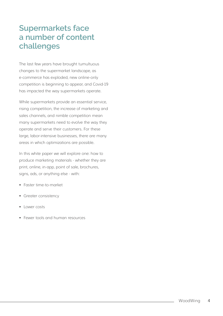#### **Supermarkets face a number of content challenges**

The last few years have brought tumultuous changes to the supermarket landscape, as e-commerce has exploded, new online-only competition is beginning to appear, and Covid-19 has impacted the way supermarkets operate.

While supermarkets provide an essential service, rising competition, the increase of marketing and sales channels, and nimble competition mean many supermarkets need to evolve the way they operate and serve their customers. For these large, labor-intensive businesses, there are many areas in which optimizations are possible.

In this white paper we will explore one: how to produce marketing materials - whether they are print, online, in-app, point of sale, brochures, signs, ads, or anything else - with:

- Faster time-to-market
- Greater consistency
- Lower costs
- Fewer tools and human resources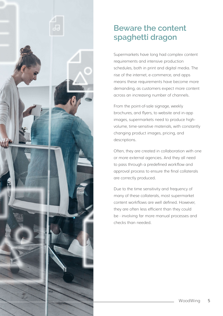

## **Beware the content spaghetti dragon**

Supermarkets have long had complex content requirements and intensive production schedules, both in print and digital media. The rise of the internet, e-commerce, and apps means these requirements have become more demanding, as customers expect more content across an increasing number of channels.

From the point-of-sale signage, weekly brochures, and flyers, to website and in-app images, supermarkets need to produce highvolume, time-sensitive materials, with constantly changing product images, pricing, and descriptions.

Often, they are created in collaboration with one or more external agencies. And they all need to pass through a predefined workflow and approval process to ensure the final collaterals are correctly produced.

Due to the time sensitivity and frequency of many of these collaterals, most supermarket content workflows are well defined. However, they are often less efficient than they could be - involving far more manual processes and checks than needed.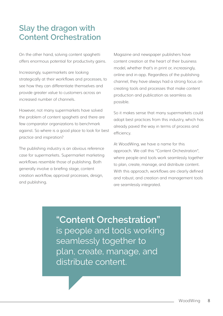### **Slay the dragon with Content Orchestration**

On the other hand, solving content spaghetti offers enormous potential for productivity gains.

Increasingly, supermarkets are looking strategically at their workflows and processes, to see how they can differentiate themselves and provide greater value to customers across an increased number of channels.

However, not many supermarkets have solved the problem of content spaghetti and there are few comparator organizations to benchmark against. So where is a good place to look for best practice and inspiration?

The publishing industry is an obvious reference case for supermarkets. Supermarket marketing workflows resemble those of publishing. Both generally involve a briefing stage, content creation workflow, approval processes, design, and publishing.

Magazine and newspaper publishers have content creation at the heart of their business model, whether that's in print or, increasingly, online and in-app. Regardless of the publishing channel, they have always had a strong focus on creating tools and processes that make content production and publication as seamless as possible.

So it makes sense that many supermarkets could adopt best practices from this industry, which has already paved the way in terms of process and efficiency.

At WoodWing, we have a name for this approach. We call this "Content Orchestration", where people and tools work seamlessly together to plan, create, manage, and distribute content. With this approach, workflows are clearly defined and robust, and creation and management tools are seamlessly integrated.

**"Content Orchestration"**  is people and tools working seamlessly together to plan, create, manage, and distribute content.